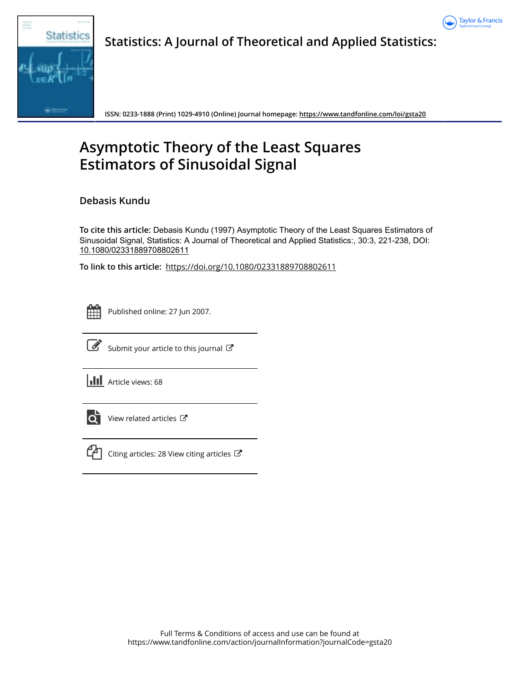



**Statistics: A Journal of Theoretical and Applied Statistics:**

**ISSN: 0233-1888 (Print) 1029-4910 (Online) Journal homepage:<https://www.tandfonline.com/loi/gsta20>**

# **Asymptotic Theory of the Least Squares Estimators of Sinusoidal Signal**

**Debasis Kundu**

**To cite this article:** Debasis Kundu (1997) Asymptotic Theory of the Least Squares Estimators of Sinusoidal Signal, Statistics: A Journal of Theoretical and Applied Statistics:, 30:3, 221-238, DOI: [10.1080/02331889708802611](https://www.tandfonline.com/action/showCitFormats?doi=10.1080/02331889708802611)

**To link to this article:** <https://doi.org/10.1080/02331889708802611>



Published online: 27 Jun 2007.



 $\overrightarrow{S}$  [Submit your article to this journal](https://www.tandfonline.com/action/authorSubmission?journalCode=gsta20&show=instructions)  $\overrightarrow{S}$ 

**III** Article views: 68



[View related articles](https://www.tandfonline.com/doi/mlt/10.1080/02331889708802611)  $\mathbb{Z}$ 



 $\mathbb{C}$  [Citing articles: 28 View citing articles](https://www.tandfonline.com/doi/citedby/10.1080/02331889708802611#tabModule)  $\mathbb{C}$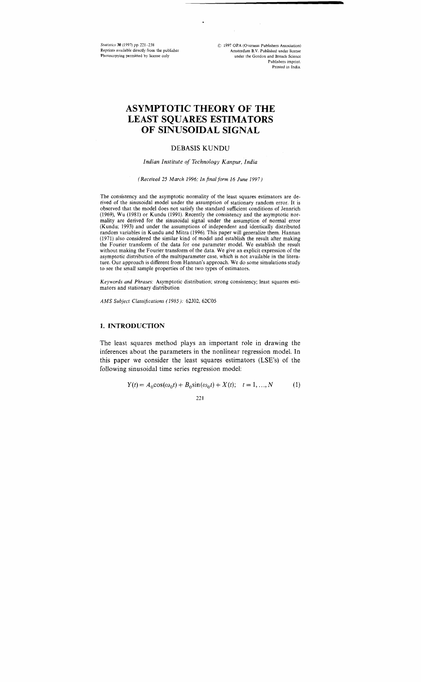Srutrstrcs **30** (1997) pp **221-238**  Reprints available directly from the publisher Photocopying permitted by license only

*C* 1997 OPA (Overseas Publrshers Association) Amsterdam B.V. Published under license under the Gordon and Breach Science Publishers imprint. Printed in India.

# **ASYMPTOTIC THEORY OF THE LEAST SQUARES ESTIMATORS OF SINUSOIDAL SIGNAL**

### DEBASIS KUNDU

### *Indian Institute of Technology Kanpur, India*

#### *(Received* 25 *March 1996; Injnalform 16 June 1997)*

The consistency and the asymptotic normality of the least squares estimators are derived of the sinusoidal model under the assumption of stationary random error. It is observed that the model does not satisfy the standard sufficient conditions of Jennrich (1969), Wu (1981) or Kundu (1991). Recently the consistency and the asymptotic normality are derived for the sinusoidal signal under the assumption of normal error (Kundu; 1993) and under the assumptions of independent and identically distributed random variables in Kundu and Mitra (1996). This paper will generalize them. Hannan (1971) also considered the similar kind of model and establish the result after making the Fourier transform of the data for one parameter model. We establish the result without making the Fourier transform of the data. We give an explicit expression of the asymptotic distribution of the multiparameter case, which is not available in the literature. Our approach is different from Hannan's approach. We do some simulations study to see the small sample properties of the two types of estimators.

*Keywords and Phrases:* Asymptotic distribution; strong consistency; least squares estimators and stationary distribution

*AMS Subject Classifications (1985):* 62502, 62C05

### **1. INTRODUCTION**

The least squares method plays an important role in drawing the inferences about the parameters in the nonlinear regression model. In this paper we consider the least squares estimators (LSE's) of the following sinusoidal time series regression model:

$$
Y(t) = A_0 \cos(\omega_0 t) + B_0 \sin(\omega_0 t) + X(t); \quad t = 1, ..., N \tag{1}
$$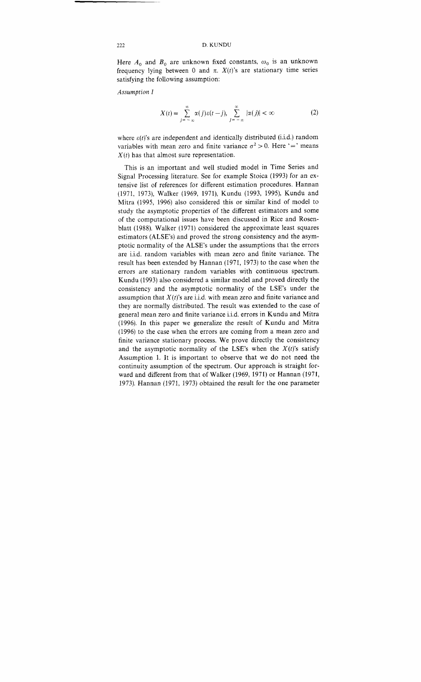Here  $A_0$  and  $B_0$  are unknown fixed constants,  $\omega_0$  is an unknown frequency lying between 0 and  $\pi$ .  $X(t)$ 's are stationary time series satisfying the following assumption:

*Assumption I* 

$$
X(t) = \sum_{j=-\infty}^{\infty} \alpha(j)\varepsilon(t-j), \sum_{j=-\infty}^{\infty} |\alpha(j)| < \infty
$$
 (2)

where  $\varepsilon(t)$ 's are independent and identically distributed (i.i.d.) random variables with mean zero and finite variance  $\sigma^2 > 0$ . Here '=' means  $X(t)$  has that almost sure representation.

This is an important and well studied model in Time Series and Signal Processing literature. See for example Stoica (1993) for an extensive list of references for different estimation procedures. Hannan (1971, 1973), Walker (1969, 1971), Kundu (1993, 1995), Kundu and Mitra (1995, 1996) also considered this or similar kind of model to study the asymptotic properties of the different estimators and some of the computational issues have been discussed in Rice and Rosenblatt (1988). Walker (1971) considered the approximate least squares estimators (ALSE's) and proved the strong consistency and the asymptotic normality of the ALSE's under the assumptions that the errors are i.i.d. random variables with mean zero and finite variance. The result has been extended by Hannan (1971, 1973) to the case when the errors are stationary random variables with continuous spectrum. Kundu (1993) also considered a similar model and proved directly the consistency and the asymptotic normality of the LSE's under the assumption that  $X(t)$ 's are i.i.d. with mean zero and finite variance and they are normally distributed. The result was extended to the case of general mean zero and finite variance iid. errors in Kundu and Mitra (1996). In this paper we generalize the result of Kundu and Mitra (1996) to the case when the errors are coming from a mean zero and finite variance stationary process. We prove directly the consistency and the asymptotic normality of the LSE's when the  $X(t)$ 's satisfy Assumption 1. It is important to observe that we do not need the continuity assumption of the spectrum. Our approach is straight forward and different from that of Walker (1969, 1971) or Hannan (1971, 1973). Hannan (1971, 1973) obtained the result for the one parameter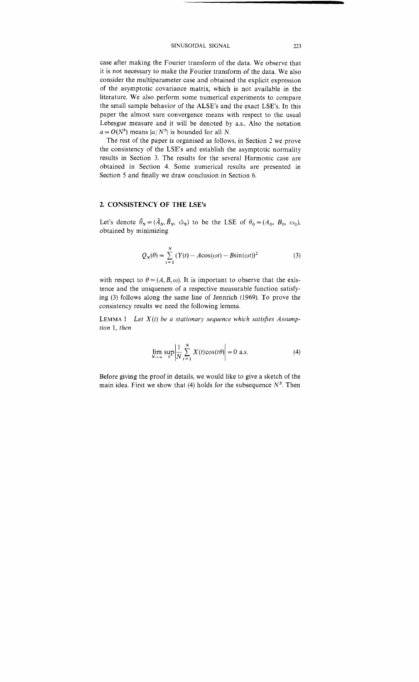case after making the Fourier transform of the data. We observe that it is not necessary to make the Fourier transform of the data. We also consider the multiparameter case and obtained the explicit expression of the asymptotic covariance matrix, which is not available in the literature. We also perform some numerical experiments to compare the small sample behavior of the ALSE's and the exact LSE's. In this paper the almost sure convergence means with respect to the usual Lebesgue measure and it will be denoted by as.. Also the notation  $a = O(N^b)$  means  $|a/N^b|$  is bounded for all *N*.

The rest of the paper is organised as follows, in Section 2 we prove the consistency of the LSE's and establish the asymptotic normality results in Section *3.* The results for the several Harmonic case are obtained in Section 4. Some numerical results are presented in Section 5 and finally we draw conclusion in Section *6.* 

### **2. CONSISTENCY OF THE LSE's**

Let's denote  $\hat{\theta}_N = (\hat{A}_N, \hat{B}_N, \hat{\omega}_N)$  to be the LSE of  $\theta_0 = (A_0, B_0, \omega_0)$ , obtained by minimizing

$$
Q_N(\theta) = \sum_{t=1}^N (Y(t) - A\cos(\omega t) - B\sin(\omega t))^2
$$
 (3)

with respect to  $\theta = (A, B, \omega)$ . It is important to observe that the existence and the uniqueness of a respective measurable function satisfying *(3)* follows along the same line of Jennrich *(1969).* To prove the consistency results we need the following lemma.

LEMMA 1 *Let*  $X(t)$  be a stationary sequence which satisfies Assump*tion 1, then* 

$$
\lim_{N \to \infty} \sup_{\theta} \left| \frac{1}{N} \sum_{t=1}^{N} X(t) \cos(t\theta) \right| = 0 \text{ a.s.}
$$
\n(4)

Before giving the proof in details, we would like to give a sketch of the main idea. First we show that  $(4)$  holds for the subsequence  $N^3$ . Then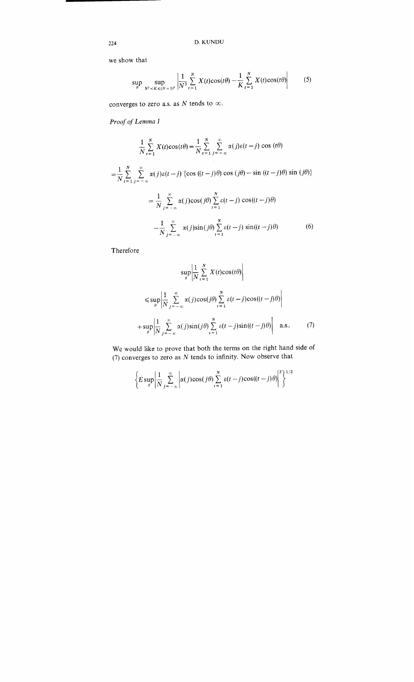we show that

$$
\sup_{\theta} \sup_{N^3 < K \leq (N+1)^3} \left| \frac{1}{N^3} \sum_{t=1}^N X(t) \cos(t\theta) - \frac{1}{K} \sum_{t=1}^N X(t) \cos(t\theta) \right| \tag{5}
$$

converges to zero a.s. as *N* tends to  $\infty$ .

**Proof of Lemma 1** 

$$
\frac{1}{N} \sum_{t=1}^{N} X(t) \cos(t\theta) = \frac{1}{N} \sum_{t=1}^{N} \sum_{j=-\infty}^{\infty} \alpha(j)\varepsilon(t-j) \cos(t\theta)
$$

$$
= \frac{1}{N} \sum_{t=1}^{N} \sum_{j=-\infty}^{\infty} \alpha(j)\varepsilon(t-j) \left\{ \cos((t-j)\theta) \cos(j\theta) - \sin((t-j)\theta) \sin(j\theta) \right\}
$$

$$
= \frac{1}{N} \sum_{j=-\infty}^{\infty} \alpha(j) \cos(j\theta) \sum_{t=1}^{N} \varepsilon(t-j) \cos((t-j)\theta)
$$

$$
- \frac{1}{N} \sum_{j=-\infty}^{\infty} \alpha(j) \sin(j\theta) \sum_{t=1}^{N} \varepsilon(t-j) \sin((t-j)\theta)
$$
(6)

Therefore

$$
\sup_{\theta} \left| \frac{1}{N} \sum_{t=1}^{N} X(t) \cos(t\theta) \right|
$$
  

$$
\leq \sup_{\theta} \left| \frac{1}{N} \sum_{j=-\infty}^{\infty} \alpha(j) \cos(j\theta) \sum_{t=1}^{N} \varepsilon(t-j) \cos((t-j)\theta) \right|
$$
  
+ 
$$
\sup_{\theta} \left| \frac{1}{N} \sum_{j=-\infty}^{\infty} \alpha(j) \sin(j\theta) \sum_{t=1}^{N} \varepsilon(t-j) \sin((t-j)\theta) \right| \quad \text{a.s.} \tag{7}
$$

We would like to prove that both the terms on the right hand s  $(7)$  converges to zero as N tends to infinity. Now observe that

$$
\left\{ E \sup_{\theta} \left| \frac{1}{N} \sum_{j=-\infty}^{\infty} \left| \alpha(j) \cos(j\theta) \sum_{t=1}^{N} \varepsilon(t-j) \cos((t-j)\theta) \right|^2 \right\}^{1/2}
$$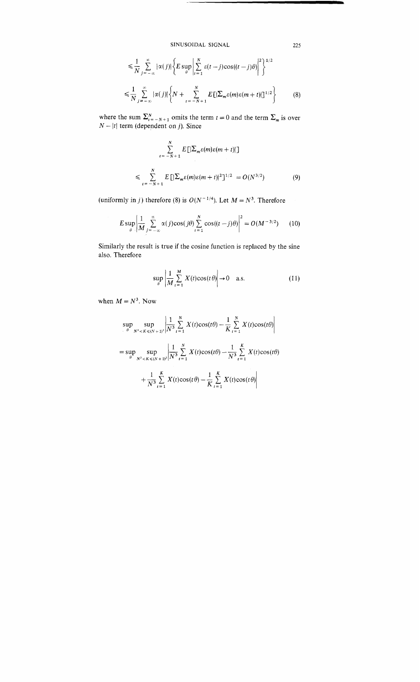$$
\leq \frac{1}{N} \sum_{j=-\infty}^{\infty} |\alpha(j)| \left\{ E \sup_{\theta} \left| \sum_{t=1}^{N} \varepsilon(t-j) \cos((t-j)\theta) \right|^2 \right\}^{1/2}
$$
  

$$
\leq \frac{1}{N} \sum_{j=-\infty}^{\infty} |\alpha(j)| \left\{ N + \sum_{t=-N+1}^{N} E\left[ \left( \sum_{m} \varepsilon(m) \varepsilon(m+t) \right] \right]^{1/2} \right\} \tag{8}
$$

where the sum  $\sum_{i=-N+1}^{N}$  omits the term  $t = 0$  and the term  $\sum_{m}$  is over where the sum  $\sum_{i=-N+1}^N$  omits the term (dependent on *j*). Since

$$
\sum_{t=-N+1}^{N} E\left[\left|\sum_{m} \varepsilon(m)\varepsilon(m+t)\right|\right]
$$
  

$$
\leqslant \sum_{t=-N+1}^{N} E\left[\left|\sum_{m} \varepsilon(m)\varepsilon(m+t)\right|^{2}\right]^{1/2} = O(N^{3/2})
$$
 (9)

(uniformly in j) therefore (8) is  $O(N^{-1/4})$ . Let  $M = N^3$ . Therefore

$$
E \sup_{\theta} \left| \frac{1}{M} \sum_{j=-\infty}^{\infty} \alpha(j) \cos(j\theta) \sum_{t=1}^{N} \cos((t-j)\theta) \right|^2 = O(M^{-3/2}) \qquad (10)
$$

Similarly the result is true if the cosine function is replaced by the sine also. Therefore

$$
\sup_{\theta} \left| \frac{1}{M} \sum_{t=1}^{M} X(t) \cos(t\theta) \right| \to 0 \quad \text{a.s.} \tag{11}
$$

when  $M = N^3$ . Now

$$
\sup_{\theta} \sup_{N^3 < K \le (N+1)^3} \left| \frac{1}{N^3} \sum_{t=1}^N X(t) \cos(t\theta) - \frac{1}{K} \sum_{t=1}^N X(t) \cos(t\theta) \right|
$$
\n
$$
= \sup_{\theta} \sup_{N^3 < K \le (N+1)^3} \left| \frac{1}{N^3} \sum_{t=1}^N X(t) \cos(t\theta) - \frac{1}{N^3} \sum_{t=1}^K X(t) \cos(t\theta) \right|
$$
\n
$$
+ \frac{1}{N^3} \sum_{t=1}^K X(t) \cos(t\theta) - \frac{1}{K} \sum_{t=1}^K X(t) \cos(t\theta)
$$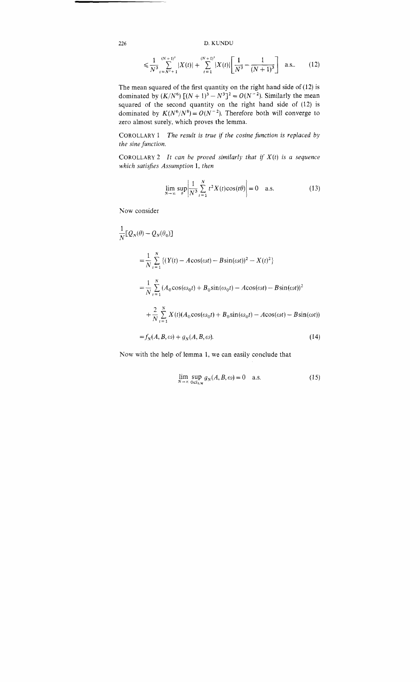*226* D. KUNDU

$$
\leqslant \frac{1}{N^3} \sum_{t = N^3 + 1}^{(N+1)^3} |X(t)| + \sum_{t=1}^{(N+1)^3} |X(t)| \left[ \frac{1}{N^3} - \frac{1}{(N+1)^3} \right] \quad \text{a.s.} \tag{12}
$$

The mean squared of the first quantity on the right hand side of (12) is dominated by  $(K/N^6) [(N+1)^3 - N^3]^2 = O(N^{-2})$ . Similarly the mean squared of the second quantity on the right hand side of *(12)* is dominated by  $K(N^6/N^8) = O(N^{-2})$ . Therefore both will converge to zero almost surely, which proves the lemma.

COROLLARY 1 *The result is true if the cosine function is replaced by the sine function.* 

COROLLARY 2 *It can be proved similarly that if X(t) is a sequence which satisjies Assumption 1, then* 

$$
\lim_{N \to \infty} \sup_{\theta} \left| \frac{1}{N^3} \sum_{t=1}^{N} t^2 X(t) \cos(t\theta) \right| = 0 \quad \text{a.s.}
$$
 (13)

Now consider

$$
\frac{1}{N} [Q_N(\theta) - Q_N(\theta_0)]
$$
\n
$$
= \frac{1}{N} \sum_{t=1}^{N} \left\{ (Y(t) - A\cos(\omega t) - B\sin(\omega t))^2 - X(t)^2 \right\}
$$
\n
$$
= \frac{1}{N} \sum_{t=1}^{N} (A_0 \cos(\omega_0 t) + B_0 \sin(\omega_0 t) - A\cos(\omega t) - B\sin(\omega t))^2
$$
\n
$$
+ \frac{2}{N} \sum_{t=1}^{N} X(t) (A_0 \cos(\omega_0 t) + B_0 \sin(\omega_0 t) - A\cos(\omega t) - B\sin(\omega t))
$$
\n
$$
= f_N(A, B, \omega) + g_N(A, B, \omega).
$$
\n(14)

Now with the help of lemma 1, we can easily conclude that

$$
\lim_{N \to \infty} \sup_{0 \in S_{\delta,M}} g_N(A, B, \omega) = 0 \quad \text{a.s.} \tag{15}
$$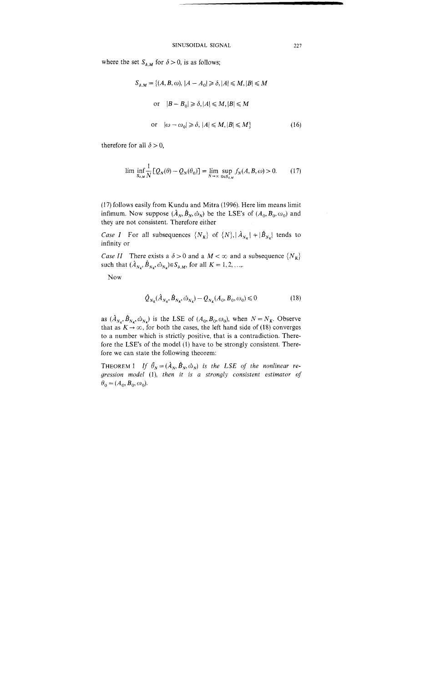where the set  $S_{\delta,M}$  for  $\delta > 0$ , is as follows;

$$
S_{\delta,M} = \{(A, B, \omega), |A - A_0| \ge \delta, |A| \le M, |B| \le M
$$
  
or  $|B - B_0| \ge \delta, |A| \le M, |B| \le M$   
or  $|\omega - \omega_0| \ge \delta, |A| \le M, |B| \le M\}$  (16)

therefore for all  $\delta > 0$ ,

$$
\lim_{S_{\delta,M}} \inf_{N} \frac{1}{N} \left[ Q_N(\theta) - Q_N(\theta_0) \right] = \lim_{N \to \infty} \sup_{0 \in S_{\delta,M}} f_N(A, B, \omega) > 0. \tag{17}
$$

(17) follows easily from Kundu and Mitra (1996). Here lim means limit infimum. Now suppose  $(\hat{A}_N, \hat{B}_N, \hat{\omega}_N)$  be the LSE's of  $(A_0, B_0, \omega_0)$  and they are not consistent. Therefore either

*Case I* For all subsequences  $\{N_k\}$  of  $\{N\}, |\hat{A}_{N_k}| + |\hat{B}_{N_k}|$  tends to infinity or

*Case II* There exists a  $\delta > 0$  and a  $M < \infty$  and a subsequence  $\{N_K\}$ such that  $(\hat{A}_{N_K}, \hat{B}_{N_K}, \hat{\omega}_{N_K}) \in S_{\delta, M}$ , for all  $K = 1, 2, ...,$ ...

Now

$$
\hat{Q}_{N_K}(\hat{A}_{N_K}, \hat{B}_{N_K}, \hat{\omega}_{N_K}) - Q_{N_K}(A_0, B_0, \omega_0) \leq 0 \tag{18}
$$

as  $(\hat{A}_{N_K}, \hat{B}_{N_K}, \hat{\omega}_{N_K})$  is the LSE of  $(A_0, B_0, \omega_0)$ , when  $N = N_K$ . Observe that as  $K \to \infty$ , for both the cases, the left hand side of (18) converges to a number which is strictly positive, that is a contradiction. Therefore the LSE's of the model *(1)* have to be strongly consistent. Therefore we can state the following theorem:

THEOREM 1 If  $\hat{\theta}_N = (\hat{A}_N, \hat{B}_N, \hat{\omega}_N)$  is the LSE of the nonlinear re*gression model* (I), *then it is a strongly consistent estimator of*   $\boldsymbol{\theta}_0 = (\boldsymbol{A}_0, \boldsymbol{B}_0, \boldsymbol{\omega}_0).$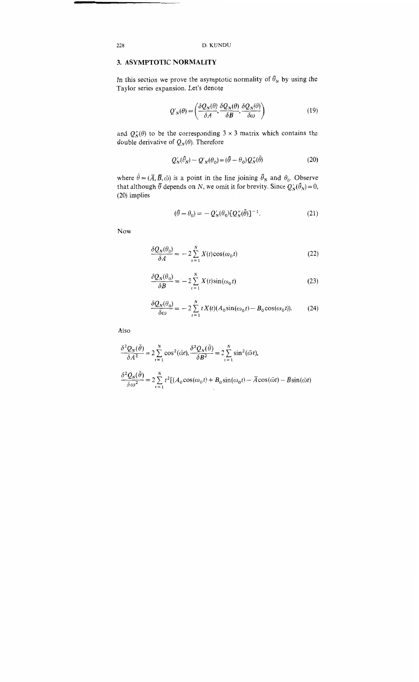# **3. ASYMPTOTIC NORMALITY**

In this section we prove the asymptotic normality of  $\hat{\theta}_N$  by using the Taylor series expansion. Let's denote

$$
Q'_{N}(\theta) = \left(\frac{\delta Q_{N}(\theta)}{\delta A}, \frac{\delta Q_{N}(\theta)}{\delta B}, \frac{\delta Q_{N}(\theta)}{\delta \omega}\right)
$$
(19)

and  $Q''_N(\theta)$  to be the corresponding  $3 \times 3$  matrix which contains the double derivative of  $Q_N(\theta)$ . Therefore

$$
Q'_N(\hat{\theta}_N) - Q'_N(\theta_0) = (\hat{\theta} - \theta_0) Q''_N(\bar{\theta})
$$
\n(20)

where  $\bar{\theta} = (\bar{A}, \bar{B}, \bar{\omega})$  is a point in the line joining  $\hat{\theta}_N$  and  $\theta_0$ . Observe hat although  $\bar{\theta}$  depends on N, we omit it for brevity. Since  $Q'_{N}(\hat{\theta}_{N}) = 0$ , (20) implies

$$
(\hat{\theta} - \theta_0) = -Q'_N(\theta_0)[Q''_N(\bar{\theta})]^{-1}.
$$
\n(21)

Now

$$
\frac{\delta Q_N(\theta_0)}{\delta A} = -2 \sum_{t=1}^N X(t) \cos(\omega_0 t)
$$
\n(22)

$$
\frac{\delta Q_N(\theta_0)}{\delta B} = -2 \sum_{t=1}^N X(t) \sin(\omega_0 t)
$$
\n(23)

$$
\frac{\delta Q_N(\theta_0)}{\delta \omega} = -2 \sum_{t=1}^N t X(t) (A_0 \sin(\omega_0 t) - B_0 \cos(\omega_0 t)).
$$
 (24)

Also

$$
\frac{\partial^2 Q_N(\bar{\theta})}{\partial A^2} = 2 \sum_{t=1}^N \cos^2(\bar{\omega}t), \frac{\partial^2 Q_N(\bar{\theta})}{\partial B^2} = 2 \sum_{t=1}^N \sin^2(\bar{\omega}t),
$$
  

$$
\frac{\partial^2 Q_N(\bar{\theta})}{\partial \omega^2} = 2 \sum_{t=1}^N t^2 \left[ (A_0 \cos(\omega_0 t) + B_0 \sin(\omega_0 t) - \bar{A} \cos(\bar{\omega}t) - \bar{B} \sin(\bar{\omega}t) \right]
$$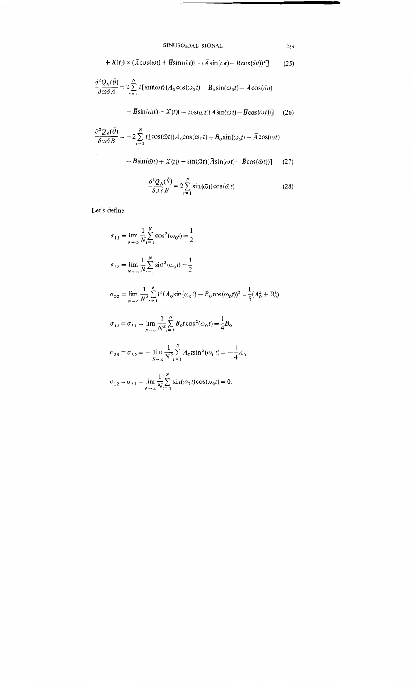+ 
$$
X(t)
$$
 ×  $(\overline{A}\cos(\overline{\omega}t) + \overline{B}\sin(\overline{\omega}t)) + (\overline{A}\sin(\overline{\omega}t) - \overline{B}\cos(\overline{\omega}t))^2$ ] (25)

$$
\frac{\partial^2 Q_N(\bar{\theta})}{\partial \omega \delta A} = 2 \sum_{t=1}^N t \left[ \sin(\bar{\omega}t) (A_0 \cos(\omega_0 t) + B_0 \sin(\omega_0 t) - \bar{A} \cos(\bar{\omega}t) \right]
$$

$$
- \overline{B}\sin(\overline{\omega}t) + X(t)) - \cos(\overline{\omega}t)(\overline{A}\sin(\overline{\omega}t) - \overline{B}\cos(\overline{\omega}t))
$$
 (26)

$$
\frac{\delta^2 Q_N(\bar{\theta})}{\delta \omega \delta B} = -2 \sum_{t=1}^N t \left[ \cos(\bar{\omega}t) (A_0 \cos(\omega_0 t) + B_0 \sin(\omega_0 t) - \bar{A} \cos(\bar{\omega}t) \right]
$$

$$
-\overline{B}\sin(\overline{\omega}t) + X(t)) - \sin(\overline{\omega}t)(\overline{A}\sin(\overline{\omega}t) - \overline{B}\cos(\overline{\omega}t))
$$
 (27)

$$
\frac{\delta^2 Q_N(\bar{\theta})}{\delta A \delta B} = 2 \sum_{t=1}^N \sin(\bar{\omega}t) \cos(\bar{\omega}t). \tag{28}
$$

Let's define

$$
\sigma_{11} = \lim_{N \to \infty} \frac{1}{N} \sum_{t=1}^{N} \cos^{2}(\omega_{0}t) = \frac{1}{2}
$$
  
\n
$$
\sigma_{22} = \lim_{N \to \infty} \frac{1}{N} \sum_{t=1}^{N} \sin^{2}(\omega_{0}t) = \frac{1}{2}
$$
  
\n
$$
\sigma_{33} = \lim_{N \to \infty} \frac{1}{N^{3}} \sum_{t=1}^{N} t^{2} (A_{0} \sin(\omega_{0}t) - B_{0} \cos(\omega_{0}t))^{2} = \frac{1}{6} (A_{0}^{2} + B_{0}^{2})
$$
  
\n
$$
\sigma_{13} = \sigma_{31} = \lim_{N \to \infty} \frac{1}{N^{2}} \sum_{t=1}^{N} B_{0} t \cos^{2}(\omega_{0}t) = \frac{1}{4} B_{0}
$$
  
\n
$$
\sigma_{23} = \sigma_{32} = -\lim_{N \to \infty} \frac{1}{N^{2}} \sum_{t=1}^{N} A_{0} t \sin^{2}(\omega_{0}t) = -\frac{1}{4} A_{0}
$$
  
\n
$$
\sigma_{12} = \sigma_{21} = \lim_{N \to \infty} \frac{1}{N} \sum_{t=1}^{N} \sin(\omega_{0}t) \cos(\omega_{0}t) = 0.
$$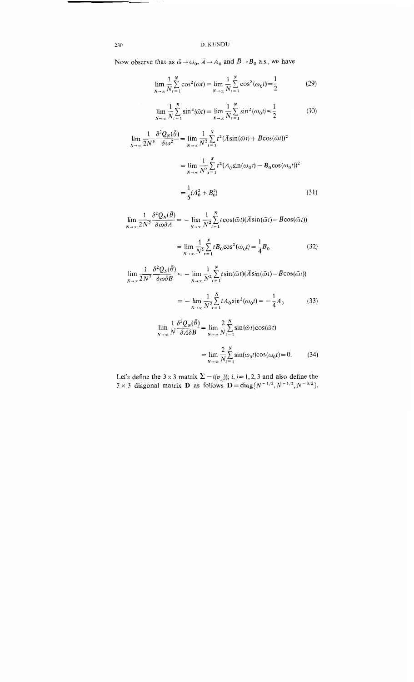# 230 D. KUNDU

Now observe that as  $\bar{\omega} \rightarrow \omega_0$ ,  $\bar{A} \rightarrow A_0$  and  $\bar{B} \rightarrow B_0$  a.s., we have

$$
\lim_{N \to \infty} \frac{1}{N} \sum_{t=1}^{N} \cos^2(\bar{\omega}t) = \lim_{N \to \infty} \frac{1}{N} \sum_{t=1}^{N} \cos^2(\omega_0 t) = \frac{1}{2}
$$
 (29)

$$
\lim_{N \to \infty} \frac{1}{N} \sum_{t=1}^{N} \sin^2(\bar{\omega}t) = \lim_{N \to \infty} \frac{1}{N} \sum_{t=1}^{N} \sin^2(\omega_0 t) = \frac{1}{2}
$$
(30)

$$
\lim_{N \to \infty} \frac{1}{2N^3} \frac{\delta^2 Q_N(\bar{\theta})}{\delta \omega^2} = \lim_{N \to \infty} \frac{1}{N^3} \sum_{t=1}^N t^2 (\bar{A} \sin(\bar{\omega} t) + \bar{B} \cos(\bar{\omega} t))^2
$$

$$
= \lim_{N \to \infty} \frac{1}{N^3} \sum_{t=1}^N t^2 (A_0 \sin(\omega_0 t) - B_0 \cos(\omega_0 t))^2
$$

$$
= \frac{1}{6} (A_0^2 + B_0^2) \tag{31}
$$

 $\lim_{N\to\infty}\frac{1}{2N^2}\frac{\delta^2 Q_N(\bar\theta)}{\delta\omega\delta A}=-\lim_{N\to\infty}\frac{1}{N^2}\sum_{t=1}^N t\cos(\bar\omega t)(\bar A\sin(\bar\omega t)-\bar B\cos(\bar\omega t))$ 

$$
= \lim_{N \to \infty} \frac{1}{N^2} \sum_{t=1}^{N} t B_0 \cos^2(\omega_0 t) = \frac{1}{4} B_0
$$
 (32)

$$
\lim_{N \to \infty} \frac{1}{2N^2} \frac{\delta^2 Q_N(\bar{\theta})}{\delta \omega \delta B} = -\lim_{N \to \infty} \frac{1}{N^2} \sum_{t=1}^N t \sin(\bar{\omega}t) (\bar{A} \sin(\bar{\omega}t) - \bar{B} \cos(\bar{\omega}t))
$$

$$
= -\lim_{N \to \infty} \frac{1}{N^2} \sum_{t=1}^{N} t A_0 \sin^2(\omega_0 t) = -\frac{1}{4} A_0 \tag{33}
$$

$$
\lim_{N \to \infty} \frac{1}{N} \frac{\delta^2 Q_N(\bar{\theta})}{\delta A \delta B} = \lim_{N \to \infty} \frac{2}{N} \sum_{t=1}^N \sin(\bar{\omega}t) \cos(\bar{\omega}t)
$$

$$
= \lim_{N \to \infty} \frac{2}{N} \sum_{t=1}^N \sin(\omega_0 t) \cos(\omega_0 t) = 0. \tag{34}
$$

Let's define the 3 × 3 matrix 
$$
\Sigma = ((\sigma_{ij}))
$$
; *i*, *j* = 1, 2, 3 and also define the 3 × 3 diagonal matrix **D** as follows **D** = diag { $N^{-1/2}$ ,  $N^{-1/2}$ ,  $N^{-3/2}$  }.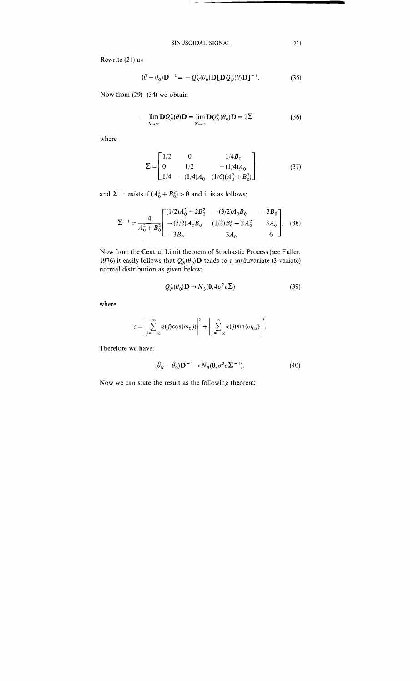Rewrite (21) as

$$
(\hat{\theta} - \theta_0)\mathbf{D}^{-1} = -Q'_N(\theta_0)\mathbf{D}[\mathbf{D}Q''_N(\bar{\theta})\mathbf{D}]^{-1}.
$$
 (35)

Now from  $(29)$ – $(34)$  we obtain

$$
\lim_{N \to \infty} \mathbf{D} Q_N''(\overline{\theta}) \mathbf{D} = \lim_{N \to \infty} \mathbf{D} Q_N''(\theta_0) \mathbf{D} = 2\Sigma
$$
 (36)

where

$$
\Sigma = \begin{bmatrix} 1/2 & 0 & 1/4B_0 \\ 0 & 1/2 & -(1/4)A_0 \\ 1/4 & -(1/4)A_0 & (1/6)(A_0^2 + B_0^2) \end{bmatrix}
$$
(37)

and  $\Sigma^{-1}$  exists if  $(A_0^2 + B_0^2) > 0$  and it is as follows;

$$
\Sigma^{-1} = \frac{4}{A_0^2 + B_0^2} \begin{bmatrix} (1/2)A_0^2 + 2B_0^2 & -(3/2)A_0B_0 & -3B_0 \ -(3/2)A_0B_0 & (1/2)B_0^2 + 2A_0^2 & 3A_0 \ -3B_0 & 3A_0 & 6 \end{bmatrix}.
$$
 (38)

Now from the Central Limit theorem of Stochastic Process (see Fuller; 1976) it easily follows that  $Q'_N(\theta_0)\mathbf{D}$  tends to a multivariate (3-variate) normal distribution as given below;

$$
Q'_N(\theta_0) \mathbf{D} \to N_3(\mathbf{0}, 4\sigma^2 c \Sigma)
$$
 (39)

where

$$
c = \left| \sum_{j=-\infty}^{\infty} \alpha(j) \cos(\omega_0 j) \right|^2 + \left| \sum_{j=-\infty}^{\infty} \alpha(j) \sin(\omega_0 j) \right|^2.
$$

Therefore we have;

$$
(\hat{\theta}_N - \hat{\theta}_0) \mathbf{D}^{-1} \to N_3(\mathbf{0}, \sigma^2 c \Sigma^{-1}).
$$
\n(40)

Now we can state the result as the following theorem;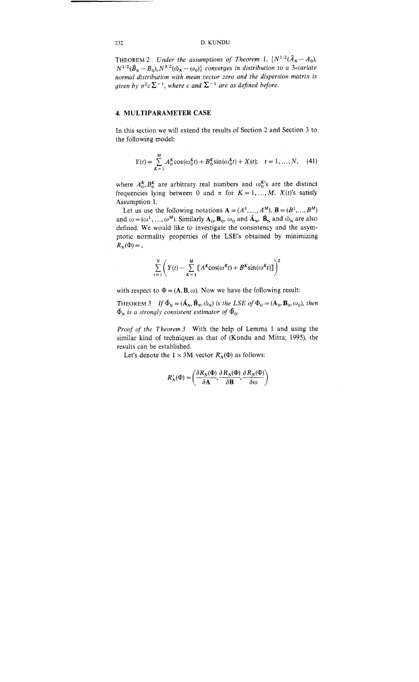### 232 D. KUNDU

THEOREM 2 *Under the assumptions of Theorem 1*,  $\{N^{1/2}(\hat{A}_N - A_0),\}$  $N^{1/2}(\hat{B}_N - B_0)$ ,  $N^{3/2}(\hat{\omega}_N - \omega_0)$  *converges in distribution to a 3-variate normal distribution with mean vector zero and the dispersion matrix is given by*  $\sigma^2 c \sum^{-1}$ , *where c* and  $\sum^{-1}$  are as defined before.

### 4. MULTIPARAMETER CASE

In this section we will extend the results of Section 2 and Section **3** to the following model:

$$
Y(t) = \sum_{K=1}^{M} A_0^K \cos(\omega_0^K t) + B_0^K \sin(\omega_0^K t) + X(t); \quad t = 1, ..., N, \quad (41)
$$

where  $A_0^K$ ,  $B_0^K$  are arbitrary real numbers and  $\omega_0^{K}$ 's are the distinct frequencies lying between 0 and  $\pi$  for  $K = 1, ..., M$ .  $X(t)$ 's satisfy Assumption 1.

Let us use the following notations  $\mathbf{A} = (A^1, ..., A^M), \mathbf{B} = (B^1, ..., B^M)$ and  $\omega = (\omega^1, ..., \omega^M)$ . Similarly  $A_0$ ,  $B_0$ ,  $\omega_0$  and  $\hat{A}_N$ ,  $\hat{B}_N$  and  $\hat{\omega}_N$  are also defined. We would like to investigate the consistency and the asymptotic normality properties of the **LSE's** obtained by minimizing  $R_N(\Phi) =$ ,

$$
\sum_{t=1}^{N} \left( Y(t) - \sum_{K=1}^{M} \left[ A^{K} \cos(\omega^{K} t) + B^{K} \sin(\omega^{K} t) \right] \right)^{2}
$$

with respect to  $\Phi = (A, B, \omega)$ . Now we have the following result:

THEOREM 3 *If*  $\hat{\Phi}_N = (\hat{\mathbf{A}}_N, \hat{\mathbf{B}}_N, \hat{\omega}_N)$  *is the LSE of*  $\Phi_0 = (\mathbf{A}_0, \mathbf{B}_0, \omega_0)$ *, then*  $\hat{\Phi}_N$  is a strongly consistent estimator of  $\hat{\Phi}_0$ .

*Proof of the Theorem* **3** With the help of Lemma 1 and using the similar kind of techniques as that of (Kundu and Mitra; 1995), the results can be established.

Let's denote the  $1 \times 3M$  vector  $R'_N(\Phi)$  as follows:

$$
R'_{N}(\Phi) = \left(\frac{\delta R_{N}(\Phi)}{\delta \mathbf{A}}, \frac{\delta R_{N}(\Phi)}{\delta \mathbf{B}}, \frac{\delta R_{N}(\Phi)}{\delta \omega}\right)
$$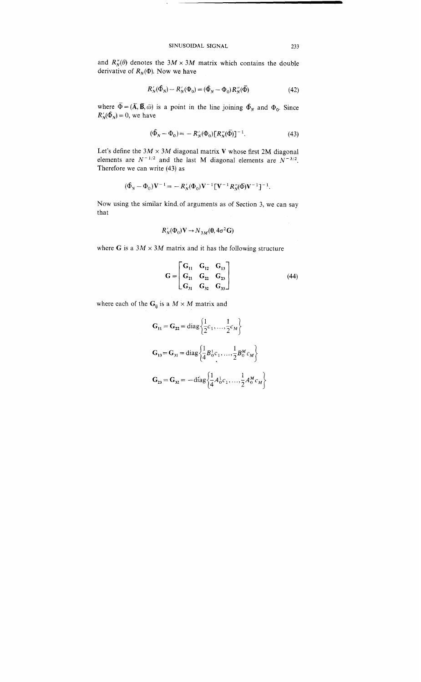and  $R_N''(\theta)$  denotes the  $3M \times 3M$  matrix which contains the double derivative of  $R_N(\Phi)$ . Now we have

$$
R'_{N}(\hat{\Phi}_{N}) - R'_{N}(\Phi_{0}) = (\hat{\Phi}_{N} - \Phi_{0}) R''_{N}(\bar{\Phi})
$$
\n(42)

where  $\overline{\Phi} = (\overline{\mathbf{A}}, \overline{\mathbf{B}}, \overline{\omega})$  is a point in the line joining  $\Phi_N$  and  $\Phi_0$ . Since  $R'_{N}(\Phi_{N}) = 0$ , we have

$$
(\hat{\Phi}_N - \Phi_0) = -R_N'(\Phi_0)[R_N''(\bar{\Phi})]^{-1}.
$$
\n(43)

Let's define the  $3M \times 3M$  diagonal matrix *V* whose first 2M diagonal elements are  $N^{-1/2}$  and the last M diagonal elements are  $N^{-3/2}$ . Therefore we can write *(43)* as

$$
(\hat{\Phi}_N - \Phi_0) V^{-1} = - R'_N(\Phi_0) V^{-1} \left[ V^{-1} R''_N(\bar{\Phi}) V^{-1} \right]^{-1}.
$$

Now using the similar kind.of arguments as of Section *3,* we can say that

$$
R'_{N}(\Phi_{0})\mathbf{V} \to N_{3M}(\mathbf{0}, 4\sigma^{2}\mathbf{G})
$$

where **G** is a  $3M \times 3M$  matrix and it has the following structure

$$
G = \begin{bmatrix} G_{11} & G_{12} & G_{13} \\ G_{21} & G_{22} & G_{23} \\ G_{31} & G_{32} & G_{33} \end{bmatrix}
$$
 (44)

where each of the  $G_{ij}$  is a  $M \times M$  matrix and

$$
G_{11} = G_{22} = diag\left\{\frac{1}{2}c_1, ..., \frac{1}{2}c_M\right\}
$$
  
\n
$$
G_{13} = G_{31} = diag\left\{\frac{1}{4}B_0^1c_1, ..., \frac{1}{2}B_0^Mc_M\right\}
$$
  
\n
$$
G_{23} = G_{32} = -diag\left\{\frac{1}{4}A_0^1c_1, ..., \frac{1}{2}A_0^Mc_M\right\}
$$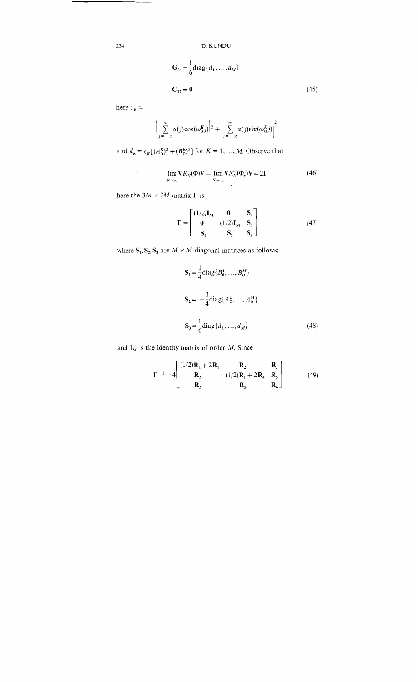D. KUNDU

$$
G_{33} = \frac{1}{6} \text{diag} \{d_1, ..., d_M\}
$$
  

$$
G_{12} = 0
$$
 (45)

here  $c_K =$ 

$$
\left|\sum_{j=-\infty}^{\infty} \alpha(j) \cos(\omega_0^K j)\right|^2 + \left|\sum_{j=-\infty}^{\infty} \alpha(j) \sin(\omega_0^K j)\right|^2
$$

and  $d_K = c_K [(A_0^K)^2 + (B_0^K)^2]$  for  $K = 1, ..., M$ . Observe that

$$
\lim_{N \to \infty} \mathbf{V} R_N''(\Phi) \mathbf{V} = \lim_{N \to \infty} \mathbf{V} R_N''(\Phi_o) \mathbf{V} = 2\Gamma
$$
\n(46)

here the  $3M \times 3M$  matrix  $\Gamma$  is

$$
\Gamma = \begin{bmatrix} (1/2)I_M & 0 & S_1 \\ 0 & (1/2)I_M & S_2 \\ S_1 & S_2 & S_3 \end{bmatrix}
$$
 (47)

where  $S_1$ ,  $S_2$ ,  $S_3$  are  $M \times M$  diagonal matrices as follows;

$$
S_{I} = \frac{1}{4} diag\{B_{0}^{1}, ..., B_{0}^{M}\}
$$
  
\n
$$
S_{2} = -\frac{1}{4} diag\{A_{0}^{1}, ..., A_{0}^{M}\}
$$
  
\n
$$
S_{3} = \frac{1}{6} diag\{d_{1}, ..., d_{M}\}
$$
 (48)

and  $I_M$  is the identity matrix of order M. Since

$$
\Gamma^{-1} = 4 \begin{bmatrix} (1/2)\mathbf{R_4} + 2\mathbf{R_1} & \mathbf{R_2} & \mathbf{R_3} \\ \mathbf{R_2} & (1/2)\mathbf{R_1} + 2\mathbf{R_4} & \mathbf{R_5} \\ \mathbf{R_3} & \mathbf{R_5} & \mathbf{R_6} \end{bmatrix}
$$
(49)

234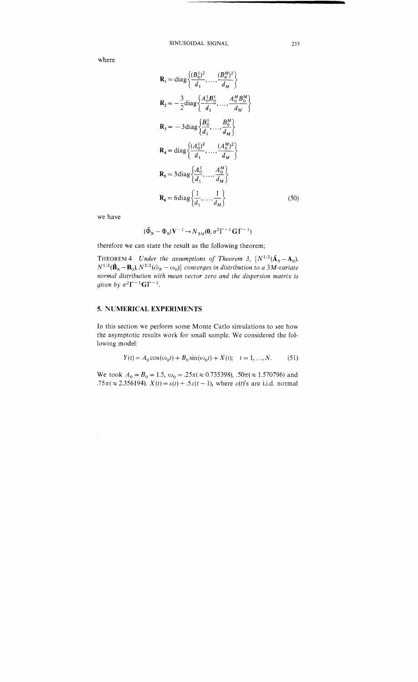where

$$
\mathbf{R}_{1} = \text{diag}\left\{\frac{(B_{0}^{1})^{2}}{d_{1}}, \dots, \frac{(B_{0}^{M})^{2}}{d_{M}}\right\}
$$
\n
$$
\mathbf{R}_{2} = -\frac{3}{2}\text{diag}\left\{\frac{A_{0}^{1}B_{0}^{1}}{d_{1}}, \dots, \frac{A_{0}^{M}B_{0}^{M}}{d_{M}}\right\}
$$
\n
$$
\mathbf{R}_{3} = -3\text{diag}\left\{\frac{B_{0}^{1}}{d_{1}}, \dots, \frac{B_{0}^{M}}{d_{M}}\right\}
$$
\n
$$
\mathbf{R}_{4} = \text{diag}\left\{\frac{(A_{0}^{1})^{2}}{d_{1}}, \dots, \frac{(A_{0}^{M})^{2}}{d_{M}}\right\}
$$
\n
$$
\mathbf{R}_{5} = 3\text{diag}\left\{\frac{A_{0}^{1}}{d_{1}}, \dots, \frac{A_{0}^{M}}{d_{M}}\right\}
$$
\n
$$
\mathbf{R}_{6} = 6\text{diag}\left\{\frac{1}{d_{1}}, \dots, \frac{1}{d_{M}}\right\}
$$
\n(50)

we have

 $\hat{\mathcal{L}}$ 

$$
(\hat{\Phi}_N - \Phi_0) \mathbf{V}^{-1} \to N_{3M}(\mathbf{0}, \sigma^2 \Gamma^{-1} \mathbf{G} \Gamma^{-1})
$$

therefore we can state the result as the following theorem;

THEOREM 4 *Under the assumptions of Theorem 3,*  $\{N^{1/2}(\hat{\mathbf{A}}_N - \mathbf{A}_0),\}$  $N^{1/2}(\hat{\mathbf{B}}_N - \mathbf{B}_0)$ ,  $N^{3/2}(\hat{\omega}_N - \omega_0)$  converges in distribution to a 3M-variate *normal distribution with mean vector zero and the dispersion matrix is given by*  $\sigma^2 \Gamma^{-1} G \Gamma^{-1}$ .

# *5. NUMERICAL* **EXPERIMENTS**

In this section we perform some Monte Carlo simulations to see how the asymptotic results work for small sample. We considered the following model:

$$
Y(t) = A_0 \cos(\omega_0 t) + B_0 \sin(\omega_0 t) + X(t); \quad t = 1, ..., N. \tag{51}
$$

We took  $A_0 = B_0 = 1.5$ ,  $\omega_0 = .25\pi (\approx 0.735398)$ ,  $.50\pi (\approx 1.570796)$  and  $.75\pi (\approx 2.356194)$ .  $X(t) = \varepsilon(t) + .5\varepsilon(t - 1)$ , where  $\varepsilon(t)$ 's are i.i.d. normal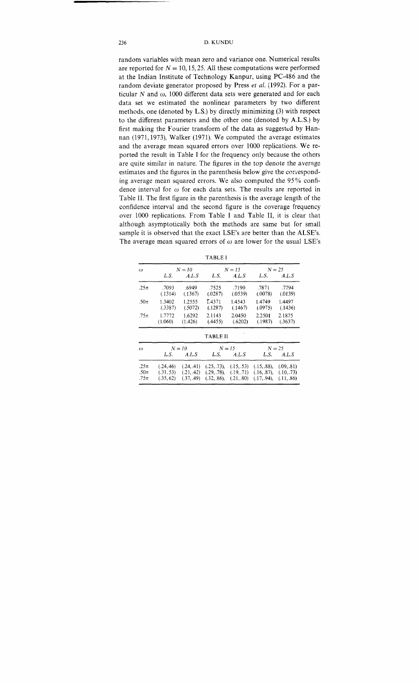random variables with mean zero and variance one. Numerical results are reported for  $N = 10, 15, 25$ . All these computations were performed at the Indian Institute of Technology Kanpur, using PC-486 and the random deviate generator proposed by Press et al. (1992). For a particular  $N$  and  $\omega$ , 1000 different data sets were generated and for each data set we estimated the nonlinear parameters by two different methods, one (denoted by L.S.) by directly minimizing **(3)** with respect to the different parameters and the other one (denoted by A.L.S.) by first making the Fourier transform of the data as suggested by Hannan (1971,1973), Walker (1971). We computed the average estimates and the average mean squared errors over 1000 replications. We reported the result in Table I for the frequency only because the others are quite similar in nature. The figures in the top denote the average estimates and the figures in the parenthesis below give the ccnesponding average mean squared errors. We also computed the 95% confidence interval for  $\omega$  for each data sets. The results are reported in Table 11. The first figure in the parenthesis is the average length of the confidence interval and the second figure is the coverage frequency over 1000 replications. From Table I and Table 11, it is clear that although asymptotically both the methods are same but for small sample it is observed that the exact LSE's are better than the ALSE's. The average mean squared errors of  $\omega$  are lower for the usual LSE's

| × |
|---|
|---|

| ω                             | $N = 10$                            |                                        | $N = 15$                                  |                                       | $N = 25$                                     |                                        |
|-------------------------------|-------------------------------------|----------------------------------------|-------------------------------------------|---------------------------------------|----------------------------------------------|----------------------------------------|
|                               | L.S.                                | A.L.S                                  | L.S.                                      | A.L.S                                 | L.S.                                         | A.L.S                                  |
| $.25\pi$                      | .7093<br>(.1314)                    | .6949<br>(.1367)                       | .7525<br>(.0287)                          | .7190<br>(.0539)                      | .7871<br>(.0078)                             | .7794<br>(.0139)                       |
| .50 $\pi$                     | 1.3402<br>(.3387)                   | 1.2555<br>(.5072)                      | T.4371<br>(.1287)                         | 1.4543<br>(1467)                      | 1.4749<br>(.0975)                            | 1.4497<br>(.1436)                      |
| $.75\pi$                      | 1.7772<br>(1.060)                   | 1.6292<br>(1.426)                      | 2.1143<br>(.4455)                         | 2.0450<br>(.6202)                     | 2.2501<br>(.1987)                            | 2.1875<br>(.3637)                      |
|                               |                                     |                                        | <b>TABLE II</b>                           |                                       |                                              |                                        |
| $\omega$                      | $N = 10$                            |                                        | $N = 15$                                  |                                       | $N = 25$                                     |                                        |
|                               | L.S.                                | A.L.S                                  | L.S.                                      | A.L.S                                 | L.S.                                         | A.L.S                                  |
| $.25\pi$<br>.50 $\pi$<br>.75π | (.24, 46)<br>(.31, 53)<br>(.35, 62) | (.24, .41)<br>(.21, .42)<br>(.37, .49) | (.25, .73),<br>(.29, .78),<br>(.32, .86), | (15, .53)<br>(.19, .71)<br>(.21, .80) | (.15, .88),<br>$(.16, .87)$ ,<br>(.17, .94). | (.09, .81)<br>(.10, .73)<br>(.11, .86) |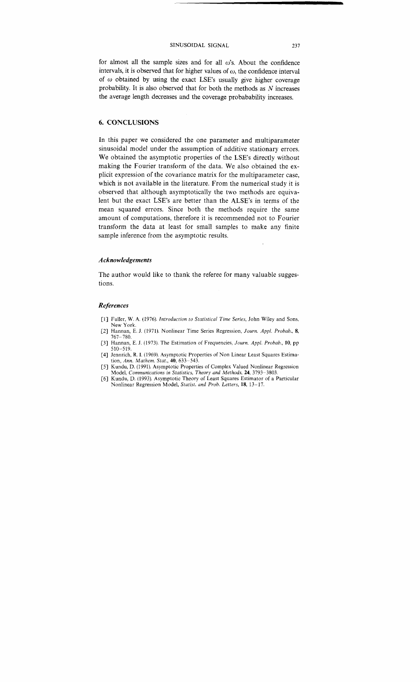for almost all the sample sizes and for all  $\omega$ 's. About the confidence intervals, it is observed that for higher values of  $\omega$ , the confidence interval of  $\omega$  obtained by using the exact LSE's usually give higher coverage probability. It is also observed that for both the methods as N increases the average length decreases and the coverage probabability increases.

### **6. CONCLUSIONS**

In this paper we considered the one parameter and multiparameter sinusoidal model under the assumption of additive stationary errors. We obtained the asymptotic properties of the LSE's directly without making the Fourier transform of the data. We also obtained the explicit expression of the covariance matrix for the multiparameter case, which is not available in the literature. From the numerical study it is observed that although asymptotically the two methods are equivalent but the exact LSE's are better than the ALSE's in terms of the mean squared errors. Since both the methods require the same amount of computations, therefore it is recommended not to Fourier transform the data at least for small samples to make any finite sample inference from the asymptotic results.

### *Acknowledgements*

The author would like to thank the referee for many valuable suggestions.

### *References*

- [I] Fuller, W. A. (1976). *Introduction to Statistical Time Series,* John Wiley and Sons, New York.
- 121 Hannan, E. J. (1971). Nonlinear Time Series Regression, *Journ. Appl. Probab., 8,*  767-780.
- [3] Hannan, E. J. (1973). The Estimation of Frequencies, *Journ. Appl. Probab., 10,* pp 510-519. [4] Jennrich, R. I. (1969). Asymptotic Properties of Non Linear Least Squares Estima-
- tion, *Ann. Marhem. Stat., 40,* 633-543. [5] Kundu, D. (1991). Asymptotic Properties of Complex Valued Nonlinear Regression
- Model, *Communications in Statistics, Theory and Methods,* **24,** 3793-3803. [6] Kundu, D. (1993). Asymptotic Theory of Least Squares Estimator of a Particular

Nonlinear Regression Model, *Statist. and Prob. Letters,* **18,** 13-17.